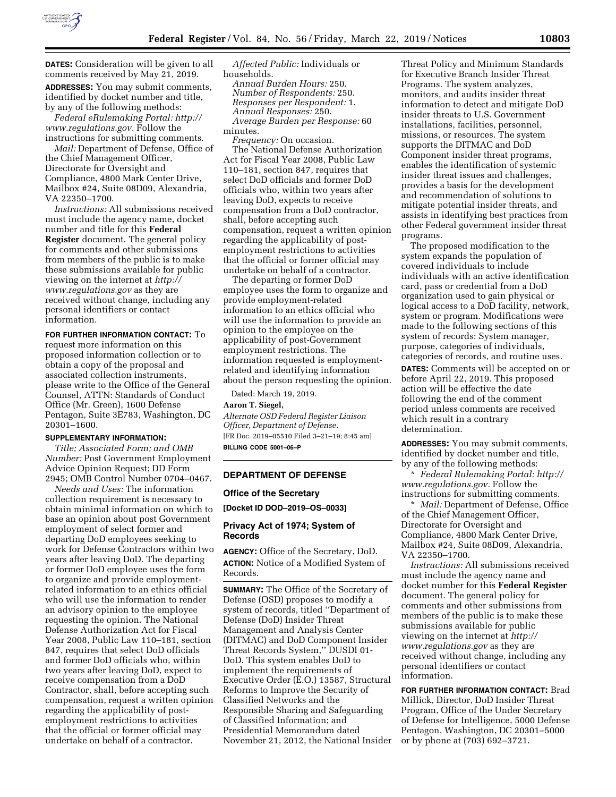

**DATES:** Consideration will be given to all comments received by May 21, 2019. **ADDRESSES:** You may submit comments, identified by docket number and title, by any of the following methods:

*Federal eRulemaking Portal: [http://](http://www.regulations.gov) [www.regulations.gov.](http://www.regulations.gov)* Follow the instructions for submitting comments.

*Mail:* Department of Defense, Office of the Chief Management Officer, Directorate for Oversight and Compliance, 4800 Mark Center Drive, Mailbox #24, Suite 08D09, Alexandria, VA 22350–1700.

*Instructions:* All submissions received must include the agency name, docket number and title for this **Federal Register** document. The general policy for comments and other submissions from members of the public is to make these submissions available for public viewing on the internet at *[http://](http://www.regulations.gov) [www.regulations.gov](http://www.regulations.gov)* as they are received without change, including any personal identifiers or contact information.

## **FOR FURTHER INFORMATION CONTACT:** To

request more information on this proposed information collection or to obtain a copy of the proposal and associated collection instruments, please write to the Office of the General Counsel, ATTN: Standards of Conduct Office (Mr. Green), 1600 Defense Pentagon, Suite 3E783, Washington, DC 20301–1600.

# **SUPPLEMENTARY INFORMATION:**

*Title; Associated Form; and OMB Number:* Post Government Employment Advice Opinion Request; DD Form 2945; OMB Control Number 0704–0467.

*Needs and Uses:* The information collection requirement is necessary to obtain minimal information on which to base an opinion about post Government employment of select former and departing DoD employees seeking to work for Defense Contractors within two years after leaving DoD. The departing or former DoD employee uses the form to organize and provide employmentrelated information to an ethics official who will use the information to render an advisory opinion to the employee requesting the opinion. The National Defense Authorization Act for Fiscal Year 2008, Public Law 110–181, section 847, requires that select DoD officials and former DoD officials who, within two years after leaving DoD, expect to receive compensation from a DoD Contractor, shall, before accepting such compensation, request a written opinion regarding the applicability of postemployment restrictions to activities that the official or former official may undertake on behalf of a contractor.

*Affected Public:* Individuals or households.

*Annual Burden Hours:* 250. *Number of Respondents:* 250. *Responses per Respondent:* 1. *Annual Responses:* 250. *Average Burden per Response:* 60 minutes.

*Frequency:* On occasion.

The National Defense Authorization Act for Fiscal Year 2008, Public Law 110–181, section 847, requires that select DoD officials and former DoD officials who, within two years after leaving DoD, expects to receive compensation from a DoD contractor, shall, before accepting such compensation, request a written opinion regarding the applicability of postemployment restrictions to activities that the official or former official may undertake on behalf of a contractor.

The departing or former DoD employee uses the form to organize and provide employment-related information to an ethics official who will use the information to provide an opinion to the employee on the applicability of post-Government employment restrictions. The information requested is employmentrelated and identifying information about the person requesting the opinion.

Dated: March 19, 2019.

# **Aaron T. Siegel,**

*Alternate OSD Federal Register Liaison Officer, Department of Defense.*  [FR Doc. 2019–05510 Filed 3–21–19; 8:45 am] **BILLING CODE 5001–06–P** 

# **DEPARTMENT OF DEFENSE**

# **Office of the Secretary**

**[Docket ID DOD–2019–OS–0033]** 

# **Privacy Act of 1974; System of Records**

**AGENCY:** Office of the Secretary, DoD. **ACTION:** Notice of a Modified System of Records.

**SUMMARY:** The Office of the Secretary of Defense (OSD) proposes to modify a system of records, titled ''Department of Defense (DoD) Insider Threat Management and Analysis Center (DITMAC) and DoD Component Insider Threat Records System,'' DUSDI 01- DoD. This system enables DoD to implement the requirements of Executive Order (E.O.) 13587, Structural Reforms to Improve the Security of Classified Networks and the Responsible Sharing and Safeguarding of Classified Information; and Presidential Memorandum dated November 21, 2012, the National Insider

Threat Policy and Minimum Standards for Executive Branch Insider Threat Programs. The system analyzes, monitors, and audits insider threat information to detect and mitigate DoD insider threats to U.S. Government installations, facilities, personnel, missions, or resources. The system supports the DITMAC and DoD Component insider threat programs, enables the identification of systemic insider threat issues and challenges, provides a basis for the development and recommendation of solutions to mitigate potential insider threats, and assists in identifying best practices from other Federal government insider threat programs.

The proposed modification to the system expands the population of covered individuals to include individuals with an active identification card, pass or credential from a DoD organization used to gain physical or logical access to a DoD facility, network, system or program. Modifications were made to the following sections of this system of records: System manager, purpose, categories of individuals, categories of records, and routine uses.

**DATES:** Comments will be accepted on or before April 22, 2019. This proposed action will be effective the date following the end of the comment period unless comments are received which result in a contrary determination.

**ADDRESSES:** You may submit comments, identified by docket number and title, by any of the following methods:

\* *Federal Rulemaking Portal: [http://](http://www.regulations.gov) [www.regulations.gov.](http://www.regulations.gov)* Follow the instructions for submitting comments.

\* *Mail:* Department of Defense, Office of the Chief Management Officer, Directorate for Oversight and Compliance, 4800 Mark Center Drive, Mailbox #24, Suite 08D09, Alexandria, VA 22350–1700.

*Instructions:* All submissions received must include the agency name and docket number for this **Federal Register**  document. The general policy for comments and other submissions from members of the public is to make these submissions available for public viewing on the internet at *[http://](http://www.regulations.gov) [www.regulations.gov](http://www.regulations.gov)* as they are received without change, including any personal identifiers or contact information.

**FOR FURTHER INFORMATION CONTACT:** Brad Millick, Director, DoD Insider Threat Program, Office of the Under Secretary of Defense for Intelligence, 5000 Defense Pentagon, Washington, DC 20301–5000 or by phone at (703) 692–3721.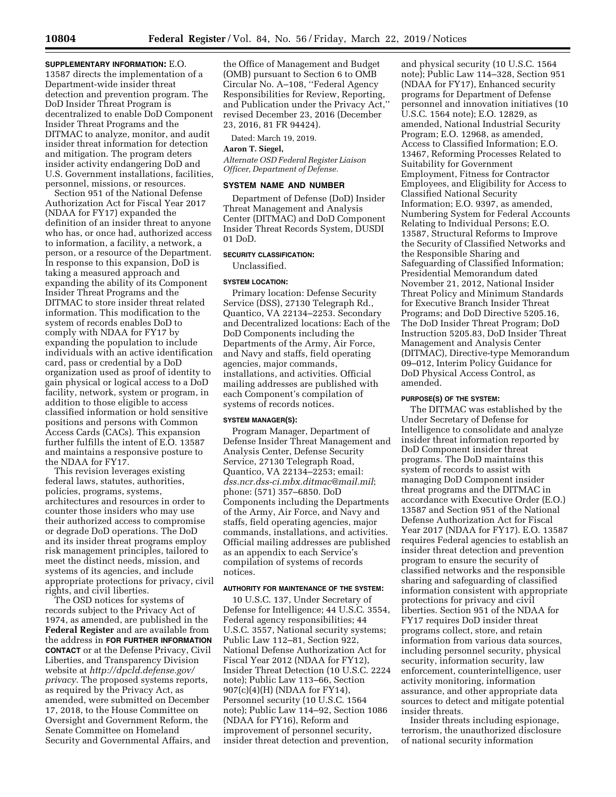**SUPPLEMENTARY INFORMATION:** E.O. 13587 directs the implementation of a Department-wide insider threat detection and prevention program. The DoD Insider Threat Program is decentralized to enable DoD Component Insider Threat Programs and the DITMAC to analyze, monitor, and audit insider threat information for detection and mitigation. The program deters insider activity endangering DoD and U.S. Government installations, facilities, personnel, missions, or resources.

Section 951 of the National Defense Authorization Act for Fiscal Year 2017 (NDAA for FY17) expanded the definition of an insider threat to anyone who has, or once had, authorized access to information, a facility, a network, a person, or a resource of the Department. In response to this expansion, DoD is taking a measured approach and expanding the ability of its Component Insider Threat Programs and the DITMAC to store insider threat related information. This modification to the system of records enables DoD to comply with NDAA for FY17 by expanding the population to include individuals with an active identification card, pass or credential by a DoD organization used as proof of identity to gain physical or logical access to a DoD facility, network, system or program, in addition to those eligible to access classified information or hold sensitive positions and persons with Common Access Cards (CACs). This expansion further fulfills the intent of E.O. 13587 and maintains a responsive posture to the NDAA for FY17.

This revision leverages existing federal laws, statutes, authorities, policies, programs, systems, architectures and resources in order to counter those insiders who may use their authorized access to compromise or degrade DoD operations. The DoD and its insider threat programs employ risk management principles, tailored to meet the distinct needs, mission, and systems of its agencies, and include appropriate protections for privacy, civil rights, and civil liberties.

The OSD notices for systems of records subject to the Privacy Act of 1974, as amended, are published in the **Federal Register** and are available from the address in **FOR FURTHER INFORMATION CONTACT** or at the Defense Privacy, Civil Liberties, and Transparency Division website at *[http://dpcld.defense.gov/](http://dpcld.defense.gov/privacy) [privacy](http://dpcld.defense.gov/privacy)*. The proposed systems reports, as required by the Privacy Act, as amended, were submitted on December 17, 2018, to the House Committee on Oversight and Government Reform, the Senate Committee on Homeland Security and Governmental Affairs, and

the Office of Management and Budget (OMB) pursuant to Section 6 to OMB Circular No. A–108, ''Federal Agency Responsibilities for Review, Reporting, and Publication under the Privacy Act,'' revised December 23, 2016 (December 23, 2016, 81 FR 94424).

Dated: March 19, 2019.

# **Aaron T. Siegel,**

*Alternate OSD Federal Register Liaison Officer, Department of Defense.* 

### **SYSTEM NAME AND NUMBER**

Department of Defense (DoD) Insider Threat Management and Analysis Center (DITMAC) and DoD Component Insider Threat Records System, DUSDI 01 DoD.

# **SECURITY CLASSIFICATION:**

Unclassified.

# **SYSTEM LOCATION:**

Primary location: Defense Security Service (DSS), 27130 Telegraph Rd., Quantico, VA 22134–2253. Secondary and Decentralized locations: Each of the DoD Components including the Departments of the Army, Air Force, and Navy and staffs, field operating agencies, major commands, installations, and activities. Official mailing addresses are published with each Component's compilation of systems of records notices.

# **SYSTEM MANAGER(S):**

Program Manager, Department of Defense Insider Threat Management and Analysis Center, Defense Security Service, 27130 Telegraph Road, Quantico, VA 22134–2253; email: *[dss.ncr.dss-ci.mbx.ditmac@mail.mil](mailto:dss.ncr.dss-ci.mbx.ditmac@mail.mil)*; phone: (571) 357–6850. DoD Components including the Departments of the Army, Air Force, and Navy and staffs, field operating agencies, major commands, installations, and activities. Official mailing addresses are published as an appendix to each Service's compilation of systems of records notices.

#### **AUTHORITY FOR MAINTENANCE OF THE SYSTEM:**

10 U.S.C. 137, Under Secretary of Defense for Intelligence; 44 U.S.C. 3554, Federal agency responsibilities; 44 U.S.C. 3557, National security systems; Public Law 112–81, Section 922, National Defense Authorization Act for Fiscal Year 2012 (NDAA for FY12), Insider Threat Detection (10 U.S.C. 2224 note); Public Law 113–66, Section 907(c)(4)(H) (NDAA for FY14), Personnel security (10 U.S.C. 1564 note); Public Law 114–92, Section 1086 (NDAA for FY16), Reform and improvement of personnel security, insider threat detection and prevention,

and physical security (10 U.S.C. 1564 note); Public Law 114–328, Section 951 (NDAA for FY17), Enhanced security programs for Department of Defense personnel and innovation initiatives (10 U.S.C. 1564 note); E.O. 12829, as amended, National Industrial Security Program; E.O. 12968, as amended, Access to Classified Information; E.O. 13467, Reforming Processes Related to Suitability for Government Employment, Fitness for Contractor Employees, and Eligibility for Access to Classified National Security Information; E.O. 9397, as amended, Numbering System for Federal Accounts Relating to Individual Persons; E.O. 13587, Structural Reforms to Improve the Security of Classified Networks and the Responsible Sharing and Safeguarding of Classified Information; Presidential Memorandum dated November 21, 2012, National Insider Threat Policy and Minimum Standards for Executive Branch Insider Threat Programs; and DoD Directive 5205.16, The DoD Insider Threat Program; DoD Instruction 5205.83, DoD Insider Threat Management and Analysis Center (DITMAC), Directive-type Memorandum 09–012, Interim Policy Guidance for DoD Physical Access Control, as amended.

#### **PURPOSE(S) OF THE SYSTEM:**

The DITMAC was established by the Under Secretary of Defense for Intelligence to consolidate and analyze insider threat information reported by DoD Component insider threat programs. The DoD maintains this system of records to assist with managing DoD Component insider threat programs and the DITMAC in accordance with Executive Order (E.O.) 13587 and Section 951 of the National Defense Authorization Act for Fiscal Year 2017 (NDAA for FY17). E.O. 13587 requires Federal agencies to establish an insider threat detection and prevention program to ensure the security of classified networks and the responsible sharing and safeguarding of classified information consistent with appropriate protections for privacy and civil liberties. Section 951 of the NDAA for FY17 requires DoD insider threat programs collect, store, and retain information from various data sources, including personnel security, physical security, information security, law enforcement, counterintelligence, user activity monitoring, information assurance, and other appropriate data sources to detect and mitigate potential insider threats.

Insider threats including espionage, terrorism, the unauthorized disclosure of national security information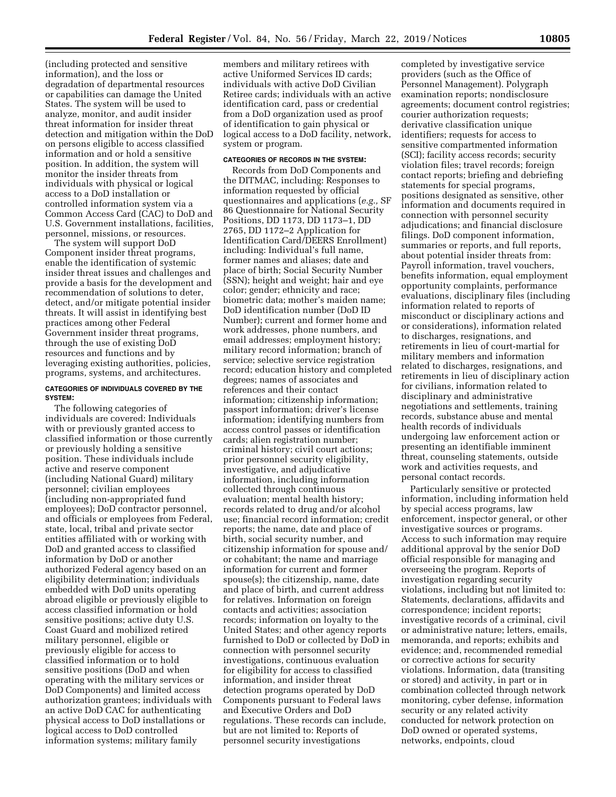(including protected and sensitive information), and the loss or degradation of departmental resources or capabilities can damage the United States. The system will be used to analyze, monitor, and audit insider threat information for insider threat detection and mitigation within the DoD on persons eligible to access classified information and or hold a sensitive position. In addition, the system will monitor the insider threats from individuals with physical or logical access to a DoD installation or controlled information system via a Common Access Card (CAC) to DoD and U.S. Government installations, facilities, personnel, missions, or resources.

The system will support DoD Component insider threat programs, enable the identification of systemic insider threat issues and challenges and provide a basis for the development and recommendation of solutions to deter, detect, and/or mitigate potential insider threats. It will assist in identifying best practices among other Federal Government insider threat programs, through the use of existing DoD resources and functions and by leveraging existing authorities, policies, programs, systems, and architectures.

## **CATEGORIES OF INDIVIDUALS COVERED BY THE SYSTEM:**

The following categories of individuals are covered: Individuals with or previously granted access to classified information or those currently or previously holding a sensitive position. These individuals include active and reserve component (including National Guard) military personnel; civilian employees (including non-appropriated fund employees); DoD contractor personnel, and officials or employees from Federal, state, local, tribal and private sector entities affiliated with or working with DoD and granted access to classified information by DoD or another authorized Federal agency based on an eligibility determination; individuals embedded with DoD units operating abroad eligible or previously eligible to access classified information or hold sensitive positions; active duty U.S. Coast Guard and mobilized retired military personnel, eligible or previously eligible for access to classified information or to hold sensitive positions (DoD and when operating with the military services or DoD Components) and limited access authorization grantees; individuals with an active DoD CAC for authenticating physical access to DoD installations or logical access to DoD controlled information systems; military family

members and military retirees with active Uniformed Services ID cards; individuals with active DoD Civilian Retiree cards; individuals with an active identification card, pass or credential from a DoD organization used as proof of identification to gain physical or logical access to a DoD facility, network, system or program.

# **CATEGORIES OF RECORDS IN THE SYSTEM:**

Records from DoD Components and the DITMAC, including: Responses to information requested by official questionnaires and applications (*e.g.,* SF 86 Questionnaire for National Security Positions, DD 1173, DD 1173–1, DD 2765, DD 1172–2 Application for Identification Card/DEERS Enrollment) including: Individual's full name, former names and aliases; date and place of birth; Social Security Number (SSN); height and weight; hair and eye color; gender; ethnicity and race; biometric data; mother's maiden name; DoD identification number (DoD ID Number); current and former home and work addresses, phone numbers, and email addresses; employment history; military record information; branch of service; selective service registration record; education history and completed degrees; names of associates and references and their contact information; citizenship information; passport information; driver's license information; identifying numbers from access control passes or identification cards; alien registration number; criminal history; civil court actions; prior personnel security eligibility, investigative, and adjudicative information, including information collected through continuous evaluation; mental health history; records related to drug and/or alcohol use; financial record information; credit reports; the name, date and place of birth, social security number, and citizenship information for spouse and/ or cohabitant; the name and marriage information for current and former spouse(s); the citizenship, name, date and place of birth, and current address for relatives. Information on foreign contacts and activities; association records; information on loyalty to the United States; and other agency reports furnished to DoD or collected by DoD in connection with personnel security investigations, continuous evaluation for eligibility for access to classified information, and insider threat detection programs operated by DoD Components pursuant to Federal laws and Executive Orders and DoD regulations. These records can include, but are not limited to: Reports of personnel security investigations

completed by investigative service providers (such as the Office of Personnel Management). Polygraph examination reports; nondisclosure agreements; document control registries; courier authorization requests; derivative classification unique identifiers; requests for access to sensitive compartmented information (SCI); facility access records; security violation files; travel records; foreign contact reports; briefing and debriefing statements for special programs, positions designated as sensitive, other information and documents required in connection with personnel security adjudications; and financial disclosure filings. DoD component information, summaries or reports, and full reports, about potential insider threats from: Payroll information, travel vouchers, benefits information, equal employment opportunity complaints, performance evaluations, disciplinary files (including information related to reports of misconduct or disciplinary actions and or considerations), information related to discharges, resignations, and retirements in lieu of court-martial for military members and information related to discharges, resignations, and retirements in lieu of disciplinary action for civilians, information related to disciplinary and administrative negotiations and settlements, training records, substance abuse and mental health records of individuals undergoing law enforcement action or presenting an identifiable imminent threat, counseling statements, outside work and activities requests, and personal contact records.

Particularly sensitive or protected information, including information held by special access programs, law enforcement, inspector general, or other investigative sources or programs. Access to such information may require additional approval by the senior DoD official responsible for managing and overseeing the program. Reports of investigation regarding security violations, including but not limited to: Statements, declarations, affidavits and correspondence; incident reports; investigative records of a criminal, civil or administrative nature; letters, emails, memoranda, and reports; exhibits and evidence; and, recommended remedial or corrective actions for security violations. Information, data (transiting or stored) and activity, in part or in combination collected through network monitoring, cyber defense, information security or any related activity conducted for network protection on DoD owned or operated systems, networks, endpoints, cloud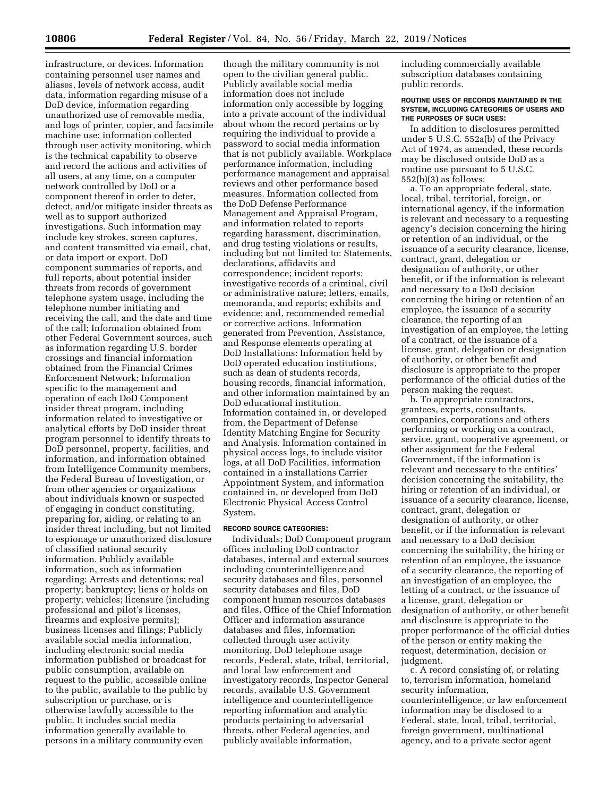infrastructure, or devices. Information containing personnel user names and aliases, levels of network access, audit data, information regarding misuse of a DoD device, information regarding unauthorized use of removable media, and logs of printer, copier, and facsimile machine use; information collected through user activity monitoring, which is the technical capability to observe and record the actions and activities of all users, at any time, on a computer network controlled by DoD or a component thereof in order to deter, detect, and/or mitigate insider threats as well as to support authorized investigations. Such information may include key strokes, screen captures, and content transmitted via email, chat, or data import or export. DoD component summaries of reports, and full reports, about potential insider threats from records of government telephone system usage, including the telephone number initiating and receiving the call, and the date and time of the call; Information obtained from other Federal Government sources, such as information regarding U.S. border crossings and financial information obtained from the Financial Crimes Enforcement Network; Information specific to the management and operation of each DoD Component insider threat program, including information related to investigative or analytical efforts by DoD insider threat program personnel to identify threats to DoD personnel, property, facilities, and information, and information obtained from Intelligence Community members, the Federal Bureau of Investigation, or from other agencies or organizations about individuals known or suspected of engaging in conduct constituting, preparing for, aiding, or relating to an insider threat including, but not limited to espionage or unauthorized disclosure of classified national security information. Publicly available information, such as information regarding: Arrests and detentions; real property; bankruptcy; liens or holds on property; vehicles; licensure (including professional and pilot's licenses, firearms and explosive permits); business licenses and filings; Publicly available social media information, including electronic social media information published or broadcast for public consumption, available on request to the public, accessible online to the public, available to the public by subscription or purchase, or is otherwise lawfully accessible to the public. It includes social media information generally available to persons in a military community even

though the military community is not open to the civilian general public. Publicly available social media information does not include information only accessible by logging into a private account of the individual about whom the record pertains or by requiring the individual to provide a password to social media information that is not publicly available. Workplace performance information, including performance management and appraisal reviews and other performance based measures. Information collected from the DoD Defense Performance Management and Appraisal Program, and information related to reports regarding harassment, discrimination, and drug testing violations or results, including but not limited to: Statements, declarations, affidavits and correspondence; incident reports; investigative records of a criminal, civil or administrative nature; letters, emails, memoranda, and reports; exhibits and evidence; and, recommended remedial or corrective actions. Information generated from Prevention, Assistance, and Response elements operating at DoD Installations: Information held by DoD operated education institutions, such as dean of students records, housing records, financial information, and other information maintained by an DoD educational institution. Information contained in, or developed from, the Department of Defense Identity Matching Engine for Security and Analysis. Information contained in physical access logs, to include visitor logs, at all DoD Facilities, information contained in a installations Carrier Appointment System, and information contained in, or developed from DoD Electronic Physical Access Control System.

#### **RECORD SOURCE CATEGORIES:**

Individuals; DoD Component program offices including DoD contractor databases, internal and external sources including counterintelligence and security databases and files, personnel security databases and files, DoD component human resources databases and files, Office of the Chief Information Officer and information assurance databases and files, information collected through user activity monitoring, DoD telephone usage records, Federal, state, tribal, territorial, and local law enforcement and investigatory records, Inspector General records, available U.S. Government intelligence and counterintelligence reporting information and analytic products pertaining to adversarial threats, other Federal agencies, and publicly available information,

including commercially available subscription databases containing public records.

## **ROUTINE USES OF RECORDS MAINTAINED IN THE SYSTEM, INCLUDING CATEGORIES OF USERS AND THE PURPOSES OF SUCH USES:**

In addition to disclosures permitted under 5 U.S.C. 552a(b) of the Privacy Act of 1974, as amended, these records may be disclosed outside DoD as a routine use pursuant to 5 U.S.C. 552(b)(3) as follows:

a. To an appropriate federal, state, local, tribal, territorial, foreign, or international agency, if the information is relevant and necessary to a requesting agency's decision concerning the hiring or retention of an individual, or the issuance of a security clearance, license, contract, grant, delegation or designation of authority, or other benefit, or if the information is relevant and necessary to a DoD decision concerning the hiring or retention of an employee, the issuance of a security clearance, the reporting of an investigation of an employee, the letting of a contract, or the issuance of a license, grant, delegation or designation of authority, or other benefit and disclosure is appropriate to the proper performance of the official duties of the person making the request.

b. To appropriate contractors, grantees, experts, consultants, companies, corporations and others performing or working on a contract, service, grant, cooperative agreement, or other assignment for the Federal Government, if the information is relevant and necessary to the entities' decision concerning the suitability, the hiring or retention of an individual, or issuance of a security clearance, license, contract, grant, delegation or designation of authority, or other benefit, or if the information is relevant and necessary to a DoD decision concerning the suitability, the hiring or retention of an employee, the issuance of a security clearance, the reporting of an investigation of an employee, the letting of a contract, or the issuance of a license, grant, delegation or designation of authority, or other benefit and disclosure is appropriate to the proper performance of the official duties of the person or entity making the request, determination, decision or judgment.

c. A record consisting of, or relating to, terrorism information, homeland security information, counterintelligence, or law enforcement information may be disclosed to a Federal, state, local, tribal, territorial, foreign government, multinational agency, and to a private sector agent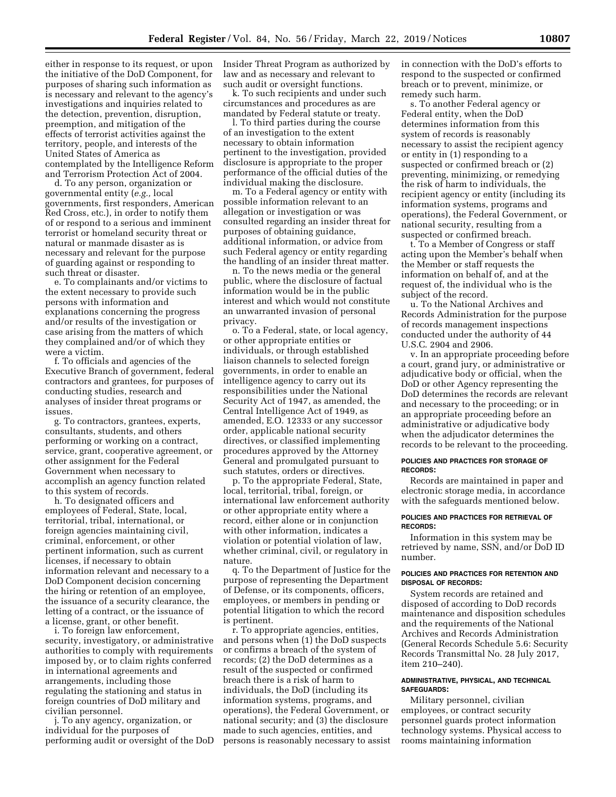either in response to its request, or upon the initiative of the DoD Component, for purposes of sharing such information as is necessary and relevant to the agency's investigations and inquiries related to the detection, prevention, disruption, preemption, and mitigation of the effects of terrorist activities against the territory, people, and interests of the United States of America as contemplated by the Intelligence Reform and Terrorism Protection Act of 2004.

d. To any person, organization or governmental entity (*e.g.,* local governments, first responders, American Red Cross, etc.), in order to notify them of or respond to a serious and imminent terrorist or homeland security threat or natural or manmade disaster as is necessary and relevant for the purpose of guarding against or responding to such threat or disaster.

e. To complainants and/or victims to the extent necessary to provide such persons with information and explanations concerning the progress and/or results of the investigation or case arising from the matters of which they complained and/or of which they were a victim.

f. To officials and agencies of the Executive Branch of government, federal contractors and grantees, for purposes of conducting studies, research and analyses of insider threat programs or issues.

g. To contractors, grantees, experts, consultants, students, and others performing or working on a contract, service, grant, cooperative agreement, or other assignment for the Federal Government when necessary to accomplish an agency function related to this system of records.

h. To designated officers and employees of Federal, State, local, territorial, tribal, international, or foreign agencies maintaining civil, criminal, enforcement, or other pertinent information, such as current licenses, if necessary to obtain information relevant and necessary to a DoD Component decision concerning the hiring or retention of an employee, the issuance of a security clearance, the letting of a contract, or the issuance of a license, grant, or other benefit.

i. To foreign law enforcement, security, investigatory, or administrative authorities to comply with requirements imposed by, or to claim rights conferred in international agreements and arrangements, including those regulating the stationing and status in foreign countries of DoD military and civilian personnel.

j. To any agency, organization, or individual for the purposes of performing audit or oversight of the DoD Insider Threat Program as authorized by law and as necessary and relevant to such audit or oversight functions.

k. To such recipients and under such circumstances and procedures as are mandated by Federal statute or treaty.

l. To third parties during the course of an investigation to the extent necessary to obtain information pertinent to the investigation, provided disclosure is appropriate to the proper performance of the official duties of the individual making the disclosure.

m. To a Federal agency or entity with possible information relevant to an allegation or investigation or was consulted regarding an insider threat for purposes of obtaining guidance, additional information, or advice from such Federal agency or entity regarding the handling of an insider threat matter.

n. To the news media or the general public, where the disclosure of factual information would be in the public interest and which would not constitute an unwarranted invasion of personal privacy.

o. To a Federal, state, or local agency, or other appropriate entities or individuals, or through established liaison channels to selected foreign governments, in order to enable an intelligence agency to carry out its responsibilities under the National Security Act of 1947, as amended, the Central Intelligence Act of 1949, as amended, E.O. 12333 or any successor order, applicable national security directives, or classified implementing procedures approved by the Attorney General and promulgated pursuant to such statutes, orders or directives.

p. To the appropriate Federal, State, local, territorial, tribal, foreign, or international law enforcement authority or other appropriate entity where a record, either alone or in conjunction with other information, indicates a violation or potential violation of law, whether criminal, civil, or regulatory in nature.

q. To the Department of Justice for the purpose of representing the Department of Defense, or its components, officers, employees, or members in pending or potential litigation to which the record is pertinent.

r. To appropriate agencies, entities, and persons when (1) the DoD suspects or confirms a breach of the system of records; (2) the DoD determines as a result of the suspected or confirmed breach there is a risk of harm to individuals, the DoD (including its information systems, programs, and operations), the Federal Government, or national security; and (3) the disclosure made to such agencies, entities, and persons is reasonably necessary to assist in connection with the DoD's efforts to respond to the suspected or confirmed breach or to prevent, minimize, or remedy such harm.

s. To another Federal agency or Federal entity, when the DoD determines information from this system of records is reasonably necessary to assist the recipient agency or entity in (1) responding to a suspected or confirmed breach or (2) preventing, minimizing, or remedying the risk of harm to individuals, the recipient agency or entity (including its information systems, programs and operations), the Federal Government, or national security, resulting from a suspected or confirmed breach.

t. To a Member of Congress or staff acting upon the Member's behalf when the Member or staff requests the information on behalf of, and at the request of, the individual who is the subject of the record.

u. To the National Archives and Records Administration for the purpose of records management inspections conducted under the authority of 44 U.S.C. 2904 and 2906.

v. In an appropriate proceeding before a court, grand jury, or administrative or adjudicative body or official, when the DoD or other Agency representing the DoD determines the records are relevant and necessary to the proceeding; or in an appropriate proceeding before an administrative or adjudicative body when the adjudicator determines the records to be relevant to the proceeding.

### **POLICIES AND PRACTICES FOR STORAGE OF RECORDS:**

Records are maintained in paper and electronic storage media, in accordance with the safeguards mentioned below.

#### **POLICIES AND PRACTICES FOR RETRIEVAL OF RECORDS:**

Information in this system may be retrieved by name, SSN, and/or DoD ID number.

# **POLICIES AND PRACTICES FOR RETENTION AND DISPOSAL OF RECORDS:**

System records are retained and disposed of according to DoD records maintenance and disposition schedules and the requirements of the National Archives and Records Administration (General Records Schedule 5.6: Security Records Transmittal No. 28 July 2017, item 210–240).

# **ADMINISTRATIVE, PHYSICAL, AND TECHNICAL SAFEGUARDS:**

Military personnel, civilian employees, or contract security personnel guards protect information technology systems. Physical access to rooms maintaining information